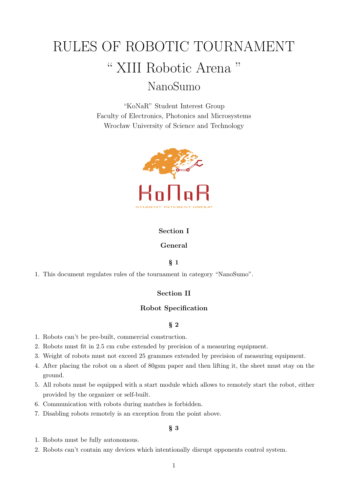# RULES OF ROBOTIC TOURNAMENT " XIII Robotic Arena " NanoSumo

"KoNaR" Student Interest Group Faculty of Electronics, Photonics and Microsystems Wrocław University of Science and Technology



## **Section I**

## **General**

## § **1**

1. This document regulates rules of the tournament in category "NanoSumo".

# **Section II**

#### **Robot Specification**

## § **2**

- 1. Robots can't be pre-built, commercial construction.
- 2. Robots must fit in 2.5 cm cube extended by precision of a measuring equipment.
- 3. Weight of robots must not exceed 25 grammes extended by precision of measuring equipment.
- 4. After placing the robot on a sheet of 80gsm paper and then lifting it, the sheet must stay on the ground.
- 5. All robots must be equipped with a start module which allows to remotely start the robot, either provided by the organizer or self-built.
- 6. Communication with robots during matches is forbidden.
- 7. Disabling robots remotely is an exception from the point above.

- 1. Robots must be fully autonomous.
- 2. Robots can't contain any devices which intentionally disrupt opponents control system.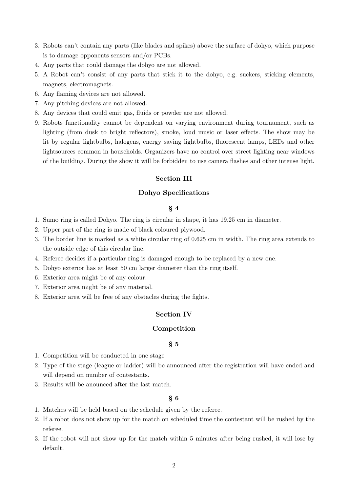- 3. Robots can't contain any parts (like blades and spikes) above the surface of dohyo, which purpose is to damage opponents sensors and/or PCBs.
- 4. Any parts that could damage the dohyo are not allowed.
- 5. A Robot can't consist of any parts that stick it to the dohyo, e.g. suckers, sticking elements, magnets, electromagnets.
- 6. Any flaming devices are not allowed.
- 7. Any pitching devices are not allowed.
- 8. Any devices that could emit gas, fluids or powder are not allowed.
- 9. Robots functionality cannot be dependent on varying environment during tournament, such as lighting (from dusk to bright reflectors), smoke, loud music or laser effects. The show may be lit by regular lightbulbs, halogens, energy saving lightbulbs, fluorescent lamps, LEDs and other lightsources common in households. Organizers have no control over street lighting near windows of the building. During the show it will be forbidden to use camera flashes and other intense light.

## **Section III**

#### **Dohyo Specifications**

#### § **4**

- 1. Sumo ring is called Dohyo. The ring is circular in shape, it has 19.25 cm in diameter.
- 2. Upper part of the ring is made of black coloured plywood.
- 3. The border line is marked as a white circular ring of 0.625 cm in width. The ring area extends to the outside edge of this circular line.
- 4. Referee decides if a particular ring is damaged enough to be replaced by a new one.
- 5. Dohyo exterior has at least 50 cm larger diameter than the ring itself.
- 6. Exterior area might be of any colour.
- 7. Exterior area might be of any material.
- 8. Exterior area will be free of any obstacles during the fights.

## **Section IV**

#### **Competition**

#### § **5**

- 1. Competition will be conducted in one stage
- 2. Type of the stage (league or ladder) will be announced after the registration will have ended and will depend on number of contestants.
- 3. Results will be anounced after the last match.

- 1. Matches will be held based on the schedule given by the referee.
- 2. If a robot does not show up for the match on scheduled time the contestant will be rushed by the referee.
- 3. If the robot will not show up for the match within 5 minutes after being rushed, it will lose by default.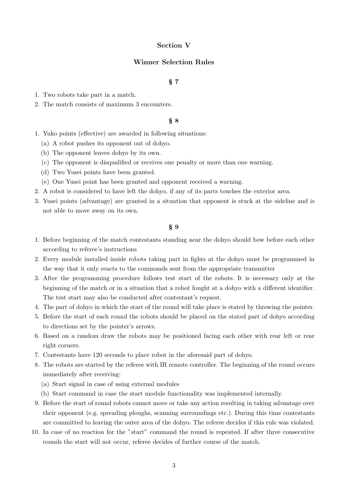## **Section V**

## **Winner Selection Rules**

## § **7**

- 1. Two robots take part in a match.
- 2. The match consists of maximum 3 encounters.

#### § **8**

- 1. Yuko points (effective) are awarded in following situations:
	- (a) A robot pushes its opponent out of dohyo.
	- (b) The opponent leaves dohyo by its own.
	- (c) The opponent is disqualified or receives one penalty or more than one warning.
	- (d) Two Yusei points have been granted.
	- (e) One Yusei point has been granted and opponent received a warning.
- 2. A robot is considered to have left the dohyo, if any of its parts touches the exterior area.
- 3. Yusei points (advantage) are granted in a situation that opponent is stuck at the sideline and is not able to move away on its own.

- 1. Before beginning of the match contestants standing near the dohyo should bow before each other according to referee's instructions
- 2. Every module installed inside robots taking part in fights at the dohyo must be programmed in the way that it only reacts to the commands sent from the appropriate transmitter
- 3. After the programming procedure follows test start of the robots. It is necessary only at the beginning of the match or in a situation that a robot fought at a dohyo with a different identifier. The test start may also be conducted after contestant's request.
- 4. The part of dohyo in which the start of the round will take place is stated by throwing the pointer.
- 5. Before the start of each round the robots should be placed on the stated part of dohyo according to directions set by the pointer's arrows.
- 6. Based on a random draw the robots may be positioned facing each other with rear left or rear right corners.
- 7. Contestants have 120 seconds to place robot in the aforesaid part of dohyo.
- 8. The robots are started by the referee with IR remote controller. The beginning of the round occurs immediately after receiving:
	- (a) Start signal in case of using external modules
	- (b) Start command in case the start module functionality was implemented internally.
- 9. Before the start of round robots cannot move or take any action resulting in taking advantage over their opponent (e.g. spreading ploughs, scanning surroundings etc.). During this time contestants are committed to leaving the outer area of the dohyo. The referee decides if this rule was violated.
- 10. In case of no reaction for the "start" command the round is repeated. If after three consecutive rounds the start will not occur, referee decides of further course of the match.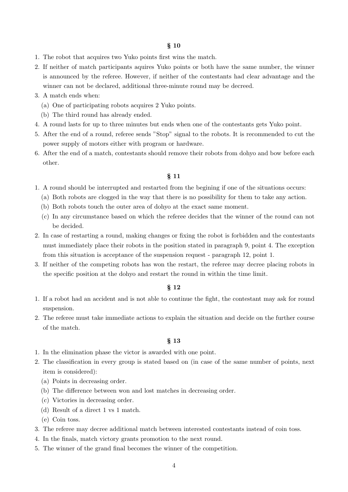#### § **10**

- 1. The robot that acquires two Yuko points first wins the match.
- 2. If neither of match participants aquires Yuko points or both have the same number, the winner is announced by the referee. However, if neither of the contestants had clear advantage and the winner can not be declared, additional three-minute round may be decreed.
- 3. A match ends when:
	- (a) One of participating robots acquires 2 Yuko points.
	- (b) The third round has already ended.
- 4. A round lasts for up to three minutes but ends when one of the contestants gets Yuko point.
- 5. After the end of a round, referee sends "Stop" signal to the robots. It is recommended to cut the power supply of motors either with program or hardware.
- 6. After the end of a match, contestants should remove their robots from dohyo and bow before each other.

#### § **11**

- 1. A round should be interrupted and restarted from the begining if one of the situations occurs:
	- (a) Both robots are clogged in the way that there is no possibility for them to take any action.
	- (b) Both robots touch the outer area of dohyo at the exact same moment.
	- (c) In any circumstance based on which the referee decides that the winner of the round can not be decided.
- 2. In case of restarting a round, making changes or fixing the robot is forbidden and the contestants must immediately place their robots in the position stated in paragraph 9, point 4. The exception from this situation is acceptance of the suspension request - paragraph 12, point 1.
- 3. If neither of the competing robots has won the restart, the referee may decree placing robots in the specific position at the dohyo and restart the round in within the time limit.

#### § **12**

- 1. If a robot had an accident and is not able to continue the fight, the contestant may ask for round suspension.
- 2. The referee must take immediate actions to explain the situation and decide on the further course of the match.

- 1. In the elimination phase the victor is awarded with one point.
- 2. The classification in every group is stated based on (in case of the same number of points, next item is considered):
	- (a) Points in decreasing order.
	- (b) The difference between won and lost matches in decreasing order.
	- (c) Victories in decreasing order.
	- (d) Result of a direct 1 vs 1 match.
	- (e) Coin toss.
- 3. The referee may decree additional match between interested contestants instead of coin toss.
- 4. In the finals, match victory grants promotion to the next round.
- 5. The winner of the grand final becomes the winner of the competition.